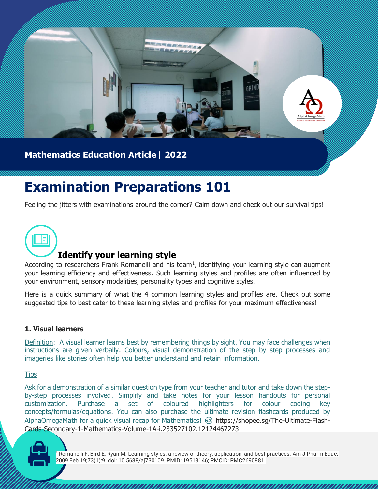

## **Mathematics Education Article| 2022**

# **Examination Preparations 101**

Feeling the jitters with examinations around the corner? Calm down and check out our survival tips!



## **Identify your learning style**

According to researchers Frank Romanelli and his team<sup>1</sup>, identifying your learning style can augment your learning efficiency and effectiveness. Such learning styles and profiles are often influenced by your environment, sensory modalities, personality types and cognitive styles.

Here is a quick summary of what the 4 common learning styles and profiles are. Check out some suggested tips to best cater to these learning styles and profiles for your maximum effectiveness!

#### **1. Visual learners**

Definition: A visual learner learns best by remembering things by sight. You may face challenges when instructions are given verbally. Colours, visual demonstration of the step by step processes and imageries like stories often help you better understand and retain information.

#### **Tips**

Ask for a demonstration of a similar question type from your teacher and tutor and take down the stepby-step processes involved. Simplify and take notes for your lesson handouts for personal customization. Purchase a set of coloured highlighters for colour coding key concepts/formulas/equations. You can also purchase the ultimate revision flashcards produced by AlphaOmegaMath for a quick visual recap for Mathematics! 
Substripts://shopee.sg/The-Ultimate-Flash-Cards-Secondary-1-Mathematics-Volume-1A-i.233527102.12124467273

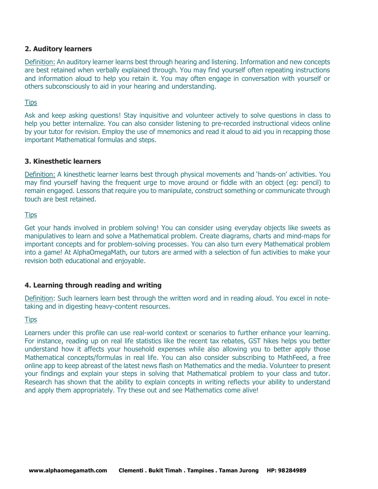#### **2. Auditory learners**

Definition: An auditory learner learns best through hearing and listening. Information and new concepts are best retained when verbally explained through. You may find yourself often repeating instructions and information aloud to help you retain it. You may often engage in conversation with yourself or others subconsciously to aid in your hearing and understanding.

#### **Tips**

Ask and keep asking questions! Stay inquisitive and volunteer actively to solve questions in class to help you better internalize. You can also consider listening to pre-recorded instructional videos online by your tutor for revision. Employ the use of mnemonics and read it aloud to aid you in recapping those important Mathematical formulas and steps.

#### **3. Kinesthetic learners**

Definition: A kinesthetic learner learns best through physical movements and 'hands-on' activities. You may find yourself having the frequent urge to move around or fiddle with an object (eg: pencil) to remain engaged. Lessons that require you to manipulate, construct something or communicate through touch are best retained.

#### **Tips**

Get your hands involved in problem solving! You can consider using everyday objects like sweets as manipulatives to learn and solve a Mathematical problem. Create diagrams, charts and mind-maps for important concepts and for problem-solving processes. You can also turn every Mathematical problem into a game! At AlphaOmegaMath, our tutors are armed with a selection of fun activities to make your revision both educational and enjoyable.

#### **4. Learning through reading and writing**

Definition: Such learners learn best through the written word and in reading aloud. You excel in notetaking and in digesting heavy-content resources.

#### **Tips**

Learners under this profile can use real-world context or scenarios to further enhance your learning. For instance, reading up on real life statistics like the recent tax rebates, GST hikes helps you better understand how it affects your household expenses while also allowing you to better apply those Mathematical concepts/formulas in real life. You can also consider subscribing to MathFeed, a free online app to keep abreast of the latest news flash on Mathematics and the media. Volunteer to present your findings and explain your steps in solving that Mathematical problem to your class and tutor. Research has shown that the ability to explain concepts in writing reflects your ability to understand and apply them appropriately. Try these out and see Mathematics come alive!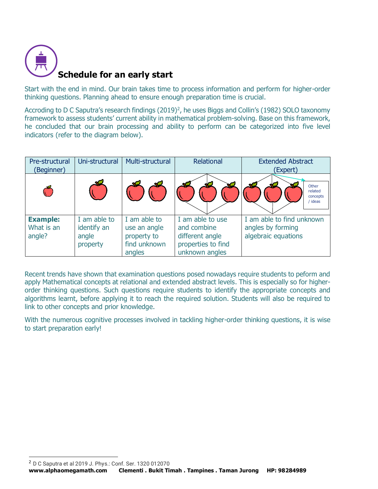

Start with the end in mind. Our brain takes time to process information and perform for higher-order thinking questions. Planning ahead to ensure enough preparation time is crucial.

Accroding to D C Saputra's research findings (2019)<sup>2</sup>, he uses Biggs and Collin's (1982) SOLO taxonomy framework to assess students' current ability in mathematical problem-solving. Base on this framework, he concluded that our brain processing and ability to perform can be categorized into five level indicators (refer to the diagram below).

| Pre-structural<br>(Beginner)            | Uni-structural                                   | Multi-structural                                                      | Relational                                                                                 | <b>Extended Abstract</b><br>(Expert)                                  |
|-----------------------------------------|--------------------------------------------------|-----------------------------------------------------------------------|--------------------------------------------------------------------------------------------|-----------------------------------------------------------------------|
|                                         |                                                  | -sc                                                                   | ХØ                                                                                         | Other<br>related<br>concepts<br>ideas                                 |
| <b>Example:</b><br>What is an<br>angle? | I am able to<br>identify an<br>angle<br>property | I am able to<br>use an angle<br>property to<br>find unknown<br>angles | I am able to use<br>and combine<br>different angle<br>properties to find<br>unknown angles | I am able to find unknown<br>angles by forming<br>algebraic equations |

Recent trends have shown that examination questions posed nowadays require students to peform and apply Mathematical concepts at relational and extended abstract levels. This is especially so for higherorder thinking questions. Such questions require students to identify the appropriate concepts and algorithms learnt, before applying it to reach the required solution. Students will also be required to link to other concepts and prior knowledge.

With the numerous cognitive processes involved in tackling higher-order thinking questions, it is wise to start preparation early!

<sup>2</sup> D C Saputra et al 2019 J. Phys.: Conf. Ser. 1320 012070

**www.alphaomegamath.com Clementi . Bukit Timah . Tampines . Taman Jurong HP: 98284989**